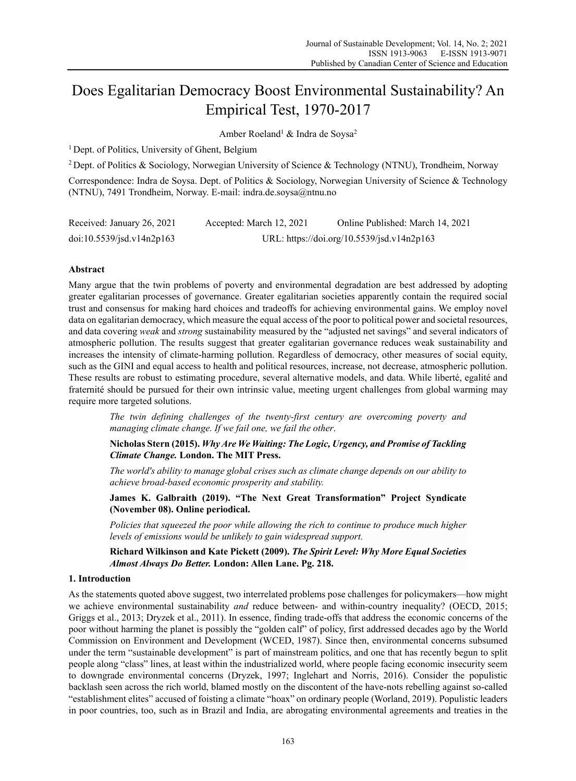# Does Egalitarian Democracy Boost Environmental Sustainability? An Empirical Test, 1970-2017

Amber Roeland<sup>1</sup> & Indra de Soysa<sup>2</sup>

<sup>1</sup> Dept. of Politics, University of Ghent, Belgium

2 Dept. of Politics & Sociology, Norwegian University of Science & Technology (NTNU), Trondheim, Norway

Correspondence: Indra de Soysa. Dept. of Politics & Sociology, Norwegian University of Science & Technology (NTNU), 7491 Trondheim, Norway. E-mail: indra.de.soysa@ntnu.no

| Received: January 26, 2021                      | Accepted: March 12, 2021 | Online Published: March 14, 2021           |
|-------------------------------------------------|--------------------------|--------------------------------------------|
| $\frac{10.5539}{150}$ doi:10.5539/jsd.v14n2p163 |                          | URL: https://doi.org/10.5539/jsd.v14n2p163 |

# **Abstract**

Many argue that the twin problems of poverty and environmental degradation are best addressed by adopting greater egalitarian processes of governance. Greater egalitarian societies apparently contain the required social trust and consensus for making hard choices and tradeoffs for achieving environmental gains. We employ novel data on egalitarian democracy, which measure the equal access of the poor to political power and societal resources, and data covering *weak* and *strong* sustainability measured by the "adjusted net savings" and several indicators of atmospheric pollution. The results suggest that greater egalitarian governance reduces weak sustainability and increases the intensity of climate-harming pollution. Regardless of democracy, other measures of social equity, such as the GINI and equal access to health and political resources, increase, not decrease, atmospheric pollution. These results are robust to estimating procedure, several alternative models, and data. While liberté, egalité and fraternité should be pursued for their own intrinsic value, meeting urgent challenges from global warming may require more targeted solutions.

*The twin defining challenges of the twenty-first century are overcoming poverty and managing climate change. If we fail one, we fail the other*.

**Nicholas Stern (2015).** *Why Are We Waiting: The Logic, Urgency, and Promise of Tackling Climate Change.* **London. The MIT Press.** 

*The world's ability to manage global crises such as climate change depends on our ability to achieve broad-based economic prosperity and stability.* 

**James K. Galbraith (2019). "The Next Great Transformation" Project Syndicate (November 08). Online periodical.** 

*Policies that squeezed the poor while allowing the rich to continue to produce much higher levels of emissions would be unlikely to gain widespread support.* 

**Richard Wilkinson and Kate Pickett (2009).** *The Spirit Level: Why More Equal Societies Almost Always Do Better.* **London: Allen Lane. Pg. 218.** 

#### **1. Introduction**

As the statements quoted above suggest, two interrelated problems pose challenges for policymakers—how might we achieve environmental sustainability *and* reduce between- and within-country inequality? (OECD, 2015; Griggs et al., 2013; Dryzek et al., 2011). In essence, finding trade-offs that address the economic concerns of the poor without harming the planet is possibly the "golden calf" of policy, first addressed decades ago by the World Commission on Environment and Development (WCED, 1987). Since then, environmental concerns subsumed under the term "sustainable development" is part of mainstream politics, and one that has recently begun to split people along "class" lines, at least within the industrialized world, where people facing economic insecurity seem to downgrade environmental concerns (Dryzek, 1997; Inglehart and Norris, 2016). Consider the populistic backlash seen across the rich world, blamed mostly on the discontent of the have-nots rebelling against so-called "establishment elites" accused of foisting a climate "hoax" on ordinary people (Worland, 2019). Populistic leaders in poor countries, too, such as in Brazil and India, are abrogating environmental agreements and treaties in the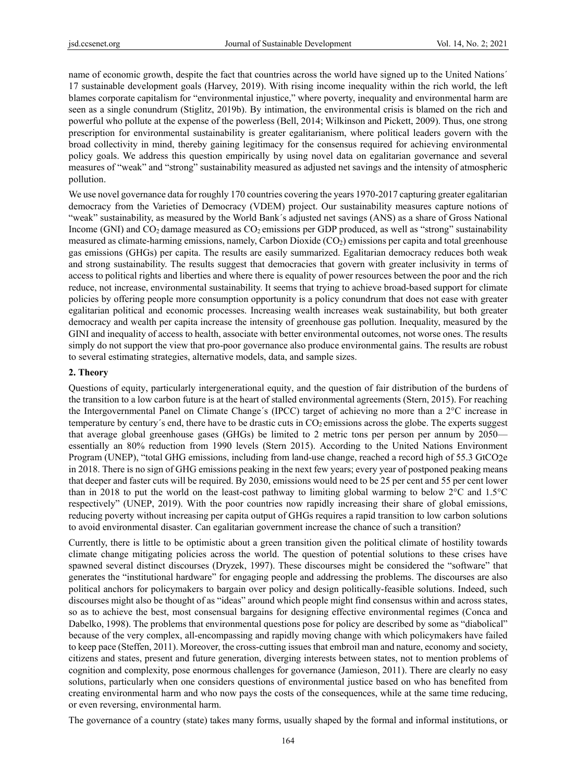name of economic growth, despite the fact that countries across the world have signed up to the United Nations´ 17 sustainable development goals (Harvey, 2019). With rising income inequality within the rich world, the left blames corporate capitalism for "environmental injustice," where poverty, inequality and environmental harm are seen as a single conundrum (Stiglitz, 2019b). By intimation, the environmental crisis is blamed on the rich and powerful who pollute at the expense of the powerless (Bell, 2014; Wilkinson and Pickett, 2009). Thus, one strong prescription for environmental sustainability is greater egalitarianism, where political leaders govern with the broad collectivity in mind, thereby gaining legitimacy for the consensus required for achieving environmental policy goals. We address this question empirically by using novel data on egalitarian governance and several measures of "weak" and "strong" sustainability measured as adjusted net savings and the intensity of atmospheric pollution.

We use novel governance data for roughly 170 countries covering the years 1970-2017 capturing greater egalitarian democracy from the Varieties of Democracy (VDEM) project. Our sustainability measures capture notions of "weak" sustainability, as measured by the World Bank´s adjusted net savings (ANS) as a share of Gross National Income (GNI) and CO<sub>2</sub> damage measured as CO<sub>2</sub> emissions per GDP produced, as well as "strong" sustainability measured as climate-harming emissions, namely, Carbon Dioxide (CO2) emissions per capita and total greenhouse gas emissions (GHGs) per capita. The results are easily summarized. Egalitarian democracy reduces both weak and strong sustainability. The results suggest that democracies that govern with greater inclusivity in terms of access to political rights and liberties and where there is equality of power resources between the poor and the rich reduce, not increase, environmental sustainability. It seems that trying to achieve broad-based support for climate policies by offering people more consumption opportunity is a policy conundrum that does not ease with greater egalitarian political and economic processes. Increasing wealth increases weak sustainability, but both greater democracy and wealth per capita increase the intensity of greenhouse gas pollution. Inequality, measured by the GINI and inequality of access to health, associate with better environmental outcomes, not worse ones. The results simply do not support the view that pro-poor governance also produce environmental gains. The results are robust to several estimating strategies, alternative models, data, and sample sizes.

# **2. Theory**

Questions of equity, particularly intergenerational equity, and the question of fair distribution of the burdens of the transition to a low carbon future is at the heart of stalled environmental agreements (Stern, 2015). For reaching the Intergovernmental Panel on Climate Change´s (IPCC) target of achieving no more than a 2°C increase in temperature by century's end, there have to be drastic cuts in  $CO<sub>2</sub>$  emissions across the globe. The experts suggest that average global greenhouse gases (GHGs) be limited to 2 metric tons per person per annum by 2050 essentially an 80% reduction from 1990 levels (Stern 2015). According to the United Nations Environment Program (UNEP), "total GHG emissions, including from land-use change, reached a record high of 55.3 GtCO2e in 2018. There is no sign of GHG emissions peaking in the next few years; every year of postponed peaking means that deeper and faster cuts will be required. By 2030, emissions would need to be 25 per cent and 55 per cent lower than in 2018 to put the world on the least-cost pathway to limiting global warming to below 2°C and 1.5°C respectively" (UNEP, 2019). With the poor countries now rapidly increasing their share of global emissions, reducing poverty without increasing per capita output of GHGs requires a rapid transition to low carbon solutions to avoid environmental disaster. Can egalitarian government increase the chance of such a transition?

Currently, there is little to be optimistic about a green transition given the political climate of hostility towards climate change mitigating policies across the world. The question of potential solutions to these crises have spawned several distinct discourses (Dryzek, 1997). These discourses might be considered the "software" that generates the "institutional hardware" for engaging people and addressing the problems. The discourses are also political anchors for policymakers to bargain over policy and design politically-feasible solutions. Indeed, such discourses might also be thought of as "ideas" around which people might find consensus within and across states, so as to achieve the best, most consensual bargains for designing effective environmental regimes (Conca and Dabelko, 1998). The problems that environmental questions pose for policy are described by some as "diabolical" because of the very complex, all-encompassing and rapidly moving change with which policymakers have failed to keep pace (Steffen, 2011). Moreover, the cross-cutting issues that embroil man and nature, economy and society, citizens and states, present and future generation, diverging interests between states, not to mention problems of cognition and complexity, pose enormous challenges for governance (Jamieson, 2011). There are clearly no easy solutions, particularly when one considers questions of environmental justice based on who has benefited from creating environmental harm and who now pays the costs of the consequences, while at the same time reducing, or even reversing, environmental harm.

The governance of a country (state) takes many forms, usually shaped by the formal and informal institutions, or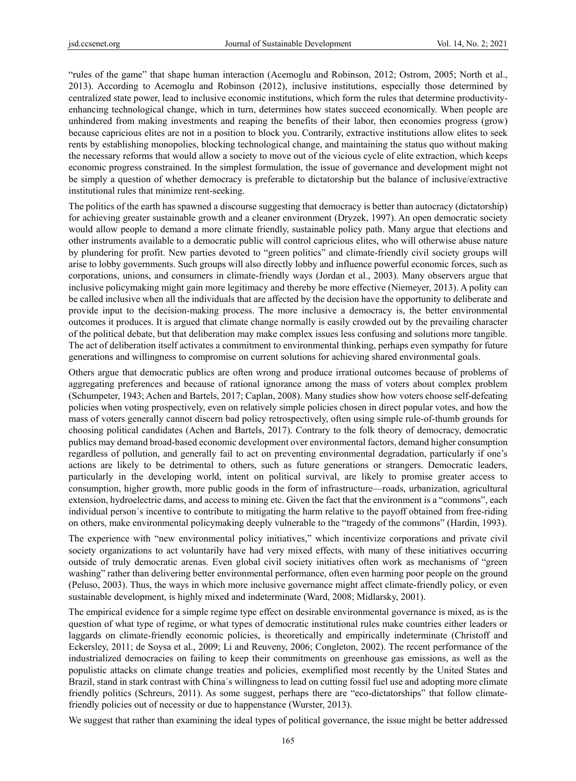"rules of the game" that shape human interaction (Acemoglu and Robinson, 2012; Ostrom, 2005; North et al., 2013). According to Acemoglu and Robinson (2012), inclusive institutions, especially those determined by centralized state power, lead to inclusive economic institutions, which form the rules that determine productivityenhancing technological change, which in turn, determines how states succeed economically. When people are unhindered from making investments and reaping the benefits of their labor, then economies progress (grow) because capricious elites are not in a position to block you. Contrarily, extractive institutions allow elites to seek rents by establishing monopolies, blocking technological change, and maintaining the status quo without making the necessary reforms that would allow a society to move out of the vicious cycle of elite extraction, which keeps economic progress constrained. In the simplest formulation, the issue of governance and development might not be simply a question of whether democracy is preferable to dictatorship but the balance of inclusive/extractive institutional rules that minimize rent-seeking.

The politics of the earth has spawned a discourse suggesting that democracy is better than autocracy (dictatorship) for achieving greater sustainable growth and a cleaner environment (Dryzek, 1997). An open democratic society would allow people to demand a more climate friendly, sustainable policy path. Many argue that elections and other instruments available to a democratic public will control capricious elites, who will otherwise abuse nature by plundering for profit. New parties devoted to "green politics" and climate-friendly civil society groups will arise to lobby governments. Such groups will also directly lobby and influence powerful economic forces, such as corporations, unions, and consumers in climate-friendly ways (Jordan et al., 2003). Many observers argue that inclusive policymaking might gain more legitimacy and thereby be more effective (Niemeyer, 2013). A polity can be called inclusive when all the individuals that are affected by the decision have the opportunity to deliberate and provide input to the decision-making process. The more inclusive a democracy is, the better environmental outcomes it produces. It is argued that climate change normally is easily crowded out by the prevailing character of the political debate, but that deliberation may make complex issues less confusing and solutions more tangible. The act of deliberation itself activates a commitment to environmental thinking, perhaps even sympathy for future generations and willingness to compromise on current solutions for achieving shared environmental goals.

Others argue that democratic publics are often wrong and produce irrational outcomes because of problems of aggregating preferences and because of rational ignorance among the mass of voters about complex problem (Schumpeter, 1943; Achen and Bartels, 2017; Caplan, 2008). Many studies show how voters choose self-defeating policies when voting prospectively, even on relatively simple policies chosen in direct popular votes, and how the mass of voters generally cannot discern bad policy retrospectively, often using simple rule-of-thumb grounds for choosing political candidates (Achen and Bartels, 2017). Contrary to the folk theory of democracy, democratic publics may demand broad-based economic development over environmental factors, demand higher consumption regardless of pollution, and generally fail to act on preventing environmental degradation, particularly if one's actions are likely to be detrimental to others, such as future generations or strangers. Democratic leaders, particularly in the developing world, intent on political survival, are likely to promise greater access to consumption, higher growth, more public goods in the form of infrastructure—roads, urbanization, agricultural extension, hydroelectric dams, and access to mining etc. Given the fact that the environment is a "commons", each individual person´s incentive to contribute to mitigating the harm relative to the payoff obtained from free-riding on others, make environmental policymaking deeply vulnerable to the "tragedy of the commons" (Hardin, 1993).

The experience with "new environmental policy initiatives," which incentivize corporations and private civil society organizations to act voluntarily have had very mixed effects, with many of these initiatives occurring outside of truly democratic arenas. Even global civil society initiatives often work as mechanisms of "green washing" rather than delivering better environmental performance, often even harming poor people on the ground (Peluso, 2003). Thus, the ways in which more inclusive governance might affect climate-friendly policy, or even sustainable development, is highly mixed and indeterminate (Ward, 2008; Midlarsky, 2001).

The empirical evidence for a simple regime type effect on desirable environmental governance is mixed, as is the question of what type of regime, or what types of democratic institutional rules make countries either leaders or laggards on climate-friendly economic policies, is theoretically and empirically indeterminate (Christoff and Eckersley, 2011; de Soysa et al., 2009; Li and Reuveny, 2006; Congleton, 2002). The recent performance of the industrialized democracies on failing to keep their commitments on greenhouse gas emissions, as well as the populistic attacks on climate change treaties and policies, exemplified most recently by the United States and Brazil, stand in stark contrast with China´s willingness to lead on cutting fossil fuel use and adopting more climate friendly politics (Schreurs, 2011). As some suggest, perhaps there are "eco-dictatorships" that follow climatefriendly policies out of necessity or due to happenstance (Wurster, 2013).

We suggest that rather than examining the ideal types of political governance, the issue might be better addressed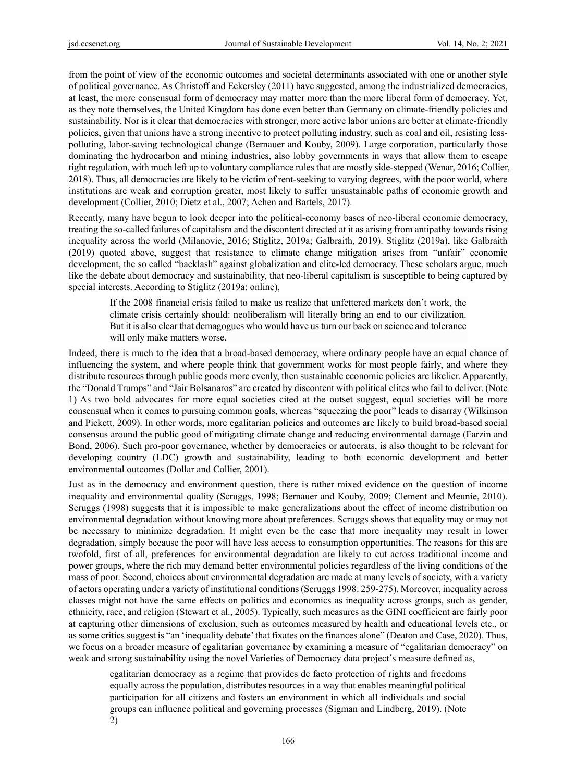from the point of view of the economic outcomes and societal determinants associated with one or another style of political governance. As Christoff and Eckersley (2011) have suggested, among the industrialized democracies, at least, the more consensual form of democracy may matter more than the more liberal form of democracy. Yet, as they note themselves, the United Kingdom has done even better than Germany on climate-friendly policies and sustainability. Nor is it clear that democracies with stronger, more active labor unions are better at climate-friendly policies, given that unions have a strong incentive to protect polluting industry, such as coal and oil, resisting lesspolluting, labor-saving technological change (Bernauer and Kouby, 2009). Large corporation, particularly those dominating the hydrocarbon and mining industries, also lobby governments in ways that allow them to escape tight regulation, with much left up to voluntary compliance rules that are mostly side-stepped (Wenar, 2016; Collier, 2018). Thus, all democracies are likely to be victim of rent-seeking to varying degrees, with the poor world, where institutions are weak and corruption greater, most likely to suffer unsustainable paths of economic growth and development (Collier, 2010; Dietz et al., 2007; Achen and Bartels, 2017).

Recently, many have begun to look deeper into the political-economy bases of neo-liberal economic democracy, treating the so-called failures of capitalism and the discontent directed at it as arising from antipathy towards rising inequality across the world (Milanovic, 2016; Stiglitz, 2019a; Galbraith, 2019). Stiglitz (2019a), like Galbraith (2019) quoted above, suggest that resistance to climate change mitigation arises from "unfair" economic development, the so called "backlash" against globalization and elite-led democracy. These scholars argue, much like the debate about democracy and sustainability, that neo-liberal capitalism is susceptible to being captured by special interests. According to Stiglitz (2019a: online),

If the 2008 financial crisis failed to make us realize that unfettered markets don't work, the climate crisis certainly should: neoliberalism will literally bring an end to our civilization. But it is also clear that demagogues who would have us turn our back on science and tolerance will only make matters worse.

Indeed, there is much to the idea that a broad-based democracy, where ordinary people have an equal chance of influencing the system, and where people think that government works for most people fairly, and where they distribute resources through public goods more evenly, then sustainable economic policies are likelier. Apparently, the "Donald Trumps" and "Jair Bolsanaros" are created by discontent with political elites who fail to deliver. (Note 1) As two bold advocates for more equal societies cited at the outset suggest, equal societies will be more consensual when it comes to pursuing common goals, whereas "squeezing the poor" leads to disarray (Wilkinson and Pickett, 2009). In other words, more egalitarian policies and outcomes are likely to build broad-based social consensus around the public good of mitigating climate change and reducing environmental damage (Farzin and Bond, 2006). Such pro-poor governance, whether by democracies or autocrats, is also thought to be relevant for developing country (LDC) growth and sustainability, leading to both economic development and better environmental outcomes (Dollar and Collier, 2001).

Just as in the democracy and environment question, there is rather mixed evidence on the question of income inequality and environmental quality (Scruggs, 1998; Bernauer and Kouby, 2009; Clement and Meunie, 2010). Scruggs (1998) suggests that it is impossible to make generalizations about the effect of income distribution on environmental degradation without knowing more about preferences. Scruggs shows that equality may or may not be necessary to minimize degradation. It might even be the case that more inequality may result in lower degradation, simply because the poor will have less access to consumption opportunities. The reasons for this are twofold, first of all, preferences for environmental degradation are likely to cut across traditional income and power groups, where the rich may demand better environmental policies regardless of the living conditions of the mass of poor. Second, choices about environmental degradation are made at many levels of society, with a variety of actors operating under a variety of institutional conditions (Scruggs 1998: 259-275). Moreover, inequality across classes might not have the same effects on politics and economics as inequality across groups, such as gender, ethnicity, race, and religion (Stewart et al., 2005). Typically, such measures as the GINI coefficient are fairly poor at capturing other dimensions of exclusion, such as outcomes measured by health and educational levels etc., or as some critics suggest is "an 'inequality debate' that fixates on the finances alone" (Deaton and Case, 2020). Thus, we focus on a broader measure of egalitarian governance by examining a measure of "egalitarian democracy" on weak and strong sustainability using the novel Varieties of Democracy data project´s measure defined as,

egalitarian democracy as a regime that provides de facto protection of rights and freedoms equally across the population, distributes resources in a way that enables meaningful political participation for all citizens and fosters an environment in which all individuals and social groups can influence political and governing processes (Sigman and Lindberg, 2019). (Note 2)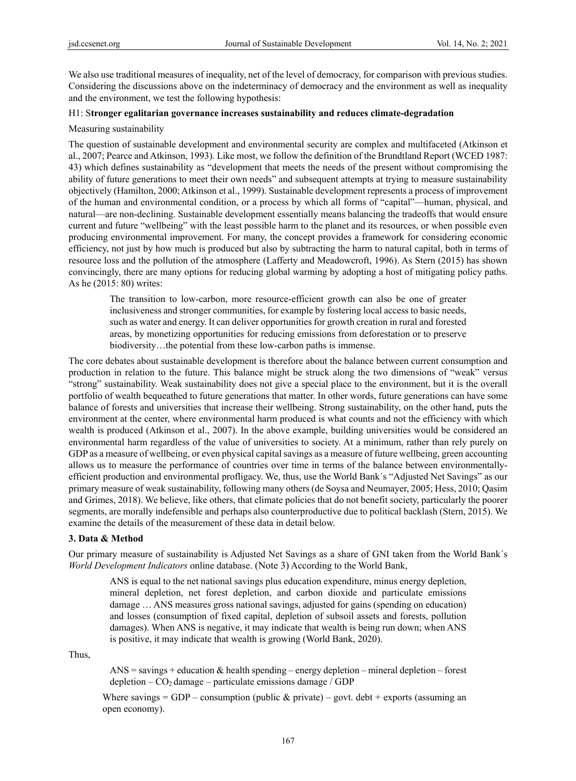We also use traditional measures of inequality, net of the level of democracy, for comparison with previous studies. Considering the discussions above on the indeterminacy of democracy and the environment as well as inequality and the environment, we test the following hypothesis:

# H1: S**tronger egalitarian governance increases sustainability and reduces climate-degradation**

#### Measuring sustainability

The question of sustainable development and environmental security are complex and multifaceted (Atkinson et al., 2007; Pearce and Atkinson, 1993). Like most, we follow the definition of the Brundtland Report (WCED 1987: 43) which defines sustainability as "development that meets the needs of the present without compromising the ability of future generations to meet their own needs" and subsequent attempts at trying to measure sustainability objectively (Hamilton, 2000; Atkinson et al., 1999). Sustainable development represents a process of improvement of the human and environmental condition, or a process by which all forms of "capital"—human, physical, and natural—are non-declining. Sustainable development essentially means balancing the tradeoffs that would ensure current and future "wellbeing" with the least possible harm to the planet and its resources, or when possible even producing environmental improvement. For many, the concept provides a framework for considering economic efficiency, not just by how much is produced but also by subtracting the harm to natural capital, both in terms of resource loss and the pollution of the atmosphere (Lafferty and Meadowcroft, 1996). As Stern (2015) has shown convincingly, there are many options for reducing global warming by adopting a host of mitigating policy paths. As he (2015: 80) writes:

The transition to low-carbon, more resource-efficient growth can also be one of greater inclusiveness and stronger communities, for example by fostering local access to basic needs, such as water and energy. It can deliver opportunities for growth creation in rural and forested areas, by monetizing opportunities for reducing emissions from deforestation or to preserve biodiversity…the potential from these low-carbon paths is immense.

The core debates about sustainable development is therefore about the balance between current consumption and production in relation to the future. This balance might be struck along the two dimensions of "weak" versus "strong" sustainability. Weak sustainability does not give a special place to the environment, but it is the overall portfolio of wealth bequeathed to future generations that matter. In other words, future generations can have some balance of forests and universities that increase their wellbeing. Strong sustainability, on the other hand, puts the environment at the center, where environmental harm produced is what counts and not the efficiency with which wealth is produced (Atkinson et al., 2007). In the above example, building universities would be considered an environmental harm regardless of the value of universities to society. At a minimum, rather than rely purely on GDP as a measure of wellbeing, or even physical capital savings as a measure of future wellbeing, green accounting allows us to measure the performance of countries over time in terms of the balance between environmentallyefficient production and environmental profligacy. We, thus, use the World Bank´s "Adjusted Net Savings" as our primary measure of weak sustainability, following many others (de Soysa and Neumayer, 2005; Hess, 2010; Qasim and Grimes, 2018). We believe, like others, that climate policies that do not benefit society, particularly the poorer segments, are morally indefensible and perhaps also counterproductive due to political backlash (Stern, 2015). We examine the details of the measurement of these data in detail below.

#### **3. Data & Method**

Our primary measure of sustainability is Adjusted Net Savings as a share of GNI taken from the World Bank´s *World Development Indicators* online database. (Note 3) According to the World Bank,

ANS is equal to the net national savings plus education expenditure, minus energy depletion, mineral depletion, net forest depletion, and carbon dioxide and particulate emissions damage … ANS measures gross national savings, adjusted for gains (spending on education) and losses (consumption of fixed capital, depletion of subsoil assets and forests, pollution damages). When ANS is negative, it may indicate that wealth is being run down; when ANS is positive, it may indicate that wealth is growing (World Bank, 2020).

Thus,

 $ANS = \text{savings} + \text{eduction} \& \text{health spending} - \text{energy depletion} - \text{mineral depletion} - \text{forest}$  $depletion - CO<sub>2</sub> damage - particulate emissions damage / GDP$ 

Where savings = GDP – consumption (public  $\&$  private) – govt. debt + exports (assuming an open economy).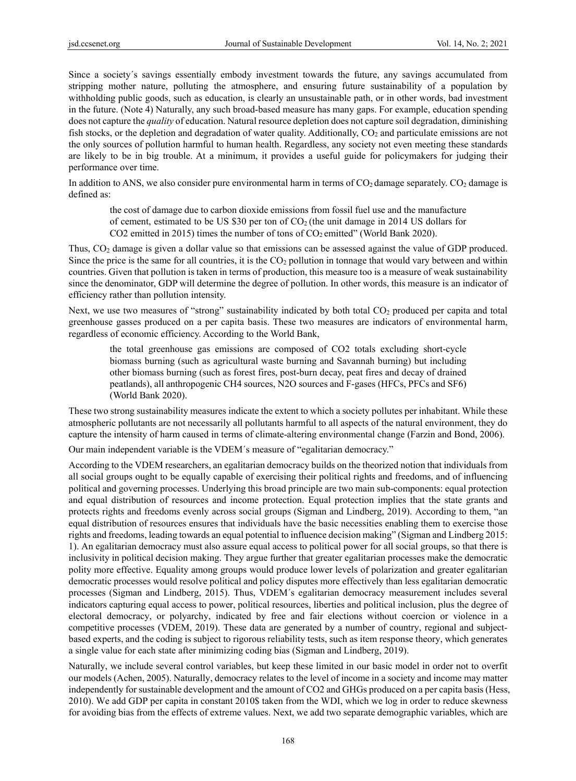Since a society´s savings essentially embody investment towards the future, any savings accumulated from stripping mother nature, polluting the atmosphere, and ensuring future sustainability of a population by withholding public goods, such as education, is clearly an unsustainable path, or in other words, bad investment in the future. (Note 4) Naturally, any such broad-based measure has many gaps. For example, education spending does not capture the *quality* of education. Natural resource depletion does not capture soil degradation, diminishing fish stocks, or the depletion and degradation of water quality. Additionally, CO<sub>2</sub> and particulate emissions are not the only sources of pollution harmful to human health. Regardless, any society not even meeting these standards are likely to be in big trouble. At a minimum, it provides a useful guide for policymakers for judging their performance over time.

In addition to ANS, we also consider pure environmental harm in terms of  $CO<sub>2</sub>$  damage separately.  $CO<sub>2</sub>$  damage is defined as:

the cost of damage due to carbon dioxide emissions from fossil fuel use and the manufacture of cement, estimated to be US \$30 per ton of  $CO<sub>2</sub>$  (the unit damage in 2014 US dollars for  $CO<sub>2</sub>$  emitted in 2015) times the number of tons of  $CO<sub>2</sub>$  emitted" (World Bank 2020).

Thus, CO2 damage is given a dollar value so that emissions can be assessed against the value of GDP produced. Since the price is the same for all countries, it is the  $CO<sub>2</sub>$  pollution in tonnage that would vary between and within countries. Given that pollution is taken in terms of production, this measure too is a measure of weak sustainability since the denominator, GDP will determine the degree of pollution. In other words, this measure is an indicator of efficiency rather than pollution intensity.

Next, we use two measures of "strong" sustainability indicated by both total CO<sub>2</sub> produced per capita and total greenhouse gasses produced on a per capita basis. These two measures are indicators of environmental harm, regardless of economic efficiency. According to the World Bank,

the total greenhouse gas emissions are composed of CO2 totals excluding short-cycle biomass burning (such as agricultural waste burning and Savannah burning) but including other biomass burning (such as forest fires, post-burn decay, peat fires and decay of drained peatlands), all anthropogenic CH4 sources, N2O sources and F-gases (HFCs, PFCs and SF6) (World Bank 2020).

These two strong sustainability measures indicate the extent to which a society pollutes per inhabitant. While these atmospheric pollutants are not necessarily all pollutants harmful to all aspects of the natural environment, they do capture the intensity of harm caused in terms of climate-altering environmental change (Farzin and Bond, 2006).

Our main independent variable is the VDEM´s measure of "egalitarian democracy."

According to the VDEM researchers, an egalitarian democracy builds on the theorized notion that individuals from all social groups ought to be equally capable of exercising their political rights and freedoms, and of influencing political and governing processes. Underlying this broad principle are two main sub-components: equal protection and equal distribution of resources and income protection. Equal protection implies that the state grants and protects rights and freedoms evenly across social groups (Sigman and Lindberg, 2019). According to them, "an equal distribution of resources ensures that individuals have the basic necessities enabling them to exercise those rights and freedoms, leading towards an equal potential to influence decision making" (Sigman and Lindberg 2015: 1). An egalitarian democracy must also assure equal access to political power for all social groups, so that there is inclusivity in political decision making. They argue further that greater egalitarian processes make the democratic polity more effective. Equality among groups would produce lower levels of polarization and greater egalitarian democratic processes would resolve political and policy disputes more effectively than less egalitarian democratic processes (Sigman and Lindberg, 2015). Thus, VDEM´s egalitarian democracy measurement includes several indicators capturing equal access to power, political resources, liberties and political inclusion, plus the degree of electoral democracy, or polyarchy, indicated by free and fair elections without coercion or violence in a competitive processes (VDEM, 2019). These data are generated by a number of country, regional and subjectbased experts, and the coding is subject to rigorous reliability tests, such as item response theory, which generates a single value for each state after minimizing coding bias (Sigman and Lindberg, 2019).

Naturally, we include several control variables, but keep these limited in our basic model in order not to overfit our models (Achen, 2005). Naturally, democracy relates to the level of income in a society and income may matter independently for sustainable development and the amount of CO2 and GHGs produced on a per capita basis (Hess, 2010). We add GDP per capita in constant 2010\$ taken from the WDI, which we log in order to reduce skewness for avoiding bias from the effects of extreme values. Next, we add two separate demographic variables, which are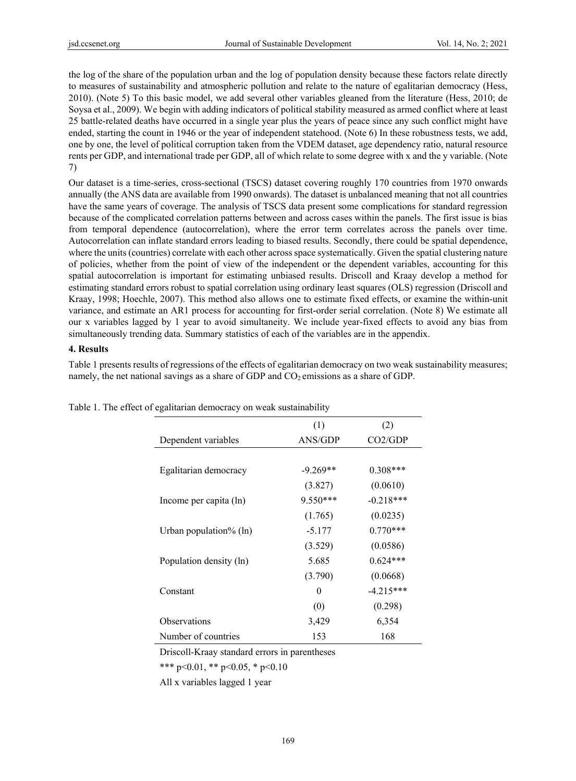the log of the share of the population urban and the log of population density because these factors relate directly to measures of sustainability and atmospheric pollution and relate to the nature of egalitarian democracy (Hess, 2010). (Note 5) To this basic model, we add several other variables gleaned from the literature (Hess, 2010; de Soysa et al., 2009). We begin with adding indicators of political stability measured as armed conflict where at least 25 battle-related deaths have occurred in a single year plus the years of peace since any such conflict might have ended, starting the count in 1946 or the year of independent statehood. (Note 6) In these robustness tests, we add, one by one, the level of political corruption taken from the VDEM dataset, age dependency ratio, natural resource rents per GDP, and international trade per GDP, all of which relate to some degree with x and the y variable. (Note 7)

Our dataset is a time-series, cross-sectional (TSCS) dataset covering roughly 170 countries from 1970 onwards annually (the ANS data are available from 1990 onwards). The dataset is unbalanced meaning that not all countries have the same years of coverage. The analysis of TSCS data present some complications for standard regression because of the complicated correlation patterns between and across cases within the panels. The first issue is bias from temporal dependence (autocorrelation), where the error term correlates across the panels over time. Autocorrelation can inflate standard errors leading to biased results. Secondly, there could be spatial dependence, where the units (countries) correlate with each other across space systematically. Given the spatial clustering nature of policies, whether from the point of view of the independent or the dependent variables, accounting for this spatial autocorrelation is important for estimating unbiased results. Driscoll and Kraay develop a method for estimating standard errors robust to spatial correlation using ordinary least squares (OLS) regression (Driscoll and Kraay, 1998; Hoechle, 2007). This method also allows one to estimate fixed effects, or examine the within-unit variance, and estimate an AR1 process for accounting for first-order serial correlation. (Note 8) We estimate all our x variables lagged by 1 year to avoid simultaneity. We include year-fixed effects to avoid any bias from simultaneously trending data. Summary statistics of each of the variables are in the appendix.

#### **4. Results**

Table 1 presents results of regressions of the effects of egalitarian democracy on two weak sustainability measures; namely, the net national savings as a share of GDP and  $CO<sub>2</sub>$  emissions as a share of GDP.

|                          | (1)        | (2)         |  |
|--------------------------|------------|-------------|--|
| Dependent variables      | ANS/GDP    | CO2/GDP     |  |
|                          |            |             |  |
| Egalitarian democracy    | $-9.269**$ | $0.308***$  |  |
|                          | (3.827)    | (0.0610)    |  |
| Income per capita (ln)   | 9.550***   | $-0.218***$ |  |
|                          | (1.765)    | (0.0235)    |  |
| Urban population% $(ln)$ | $-5.177$   | $0.770***$  |  |
|                          | (3.529)    | (0.0586)    |  |
| Population density (ln)  | 5.685      | $0.624***$  |  |
|                          | (3.790)    | (0.0668)    |  |
| Constant                 | $\theta$   | $-4.215***$ |  |
|                          | (0)        | (0.298)     |  |
| Observations             | 3,429      | 6,354       |  |
| Number of countries      | 153        | 168         |  |

Table 1. The effect of egalitarian democracy on weak sustainability

Driscoll-Kraay standard errors in parentheses

\*\*\* p<0.01, \*\* p<0.05, \* p<0.10

All x variables lagged 1 year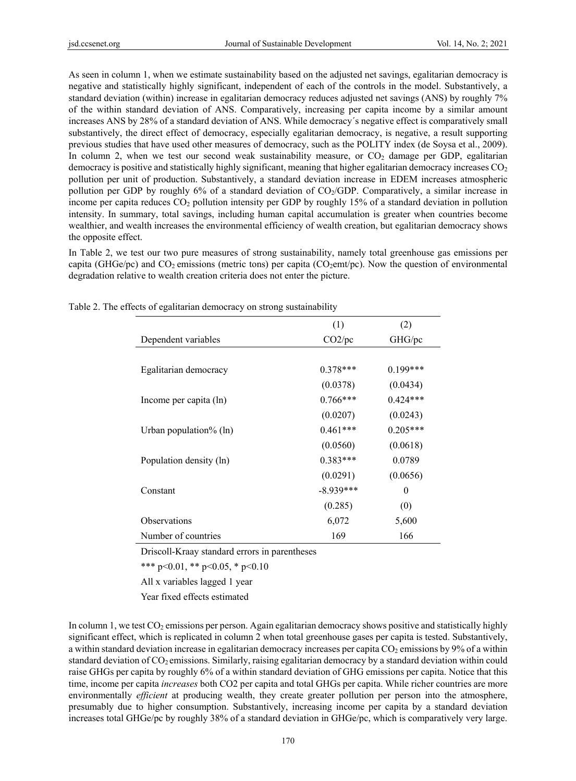As seen in column 1, when we estimate sustainability based on the adjusted net savings, egalitarian democracy is negative and statistically highly significant, independent of each of the controls in the model. Substantively, a standard deviation (within) increase in egalitarian democracy reduces adjusted net savings (ANS) by roughly 7% of the within standard deviation of ANS. Comparatively, increasing per capita income by a similar amount increases ANS by 28% of a standard deviation of ANS. While democracy´s negative effect is comparatively small substantively, the direct effect of democracy, especially egalitarian democracy, is negative, a result supporting previous studies that have used other measures of democracy, such as the POLITY index (de Soysa et al., 2009). In column 2, when we test our second weak sustainability measure, or  $CO<sub>2</sub>$  damage per GDP, egalitarian democracy is positive and statistically highly significant, meaning that higher egalitarian democracy increases  $CO<sub>2</sub>$ pollution per unit of production. Substantively, a standard deviation increase in EDEM increases atmospheric pollution per GDP by roughly 6% of a standard deviation of CO<sub>2</sub>/GDP. Comparatively, a similar increase in income per capita reduces  $CO<sub>2</sub>$  pollution intensity per GDP by roughly 15% of a standard deviation in pollution intensity. In summary, total savings, including human capital accumulation is greater when countries become wealthier, and wealth increases the environmental efficiency of wealth creation, but egalitarian democracy shows the opposite effect.

In Table 2, we test our two pure measures of strong sustainability, namely total greenhouse gas emissions per capita (GHGe/pc) and  $CO<sub>2</sub>$  emissions (metric tons) per capita ( $CO<sub>2</sub>$ emt/pc). Now the question of environmental degradation relative to wealth creation criteria does not enter the picture.

|                          | (1)         | (2)        |
|--------------------------|-------------|------------|
| Dependent variables      | CO2/pc      | GHG/pc     |
|                          |             |            |
| Egalitarian democracy    | $0.378***$  | $0.199***$ |
|                          | (0.0378)    | (0.0434)   |
| Income per capita (ln)   | $0.766***$  | $0.424***$ |
|                          | (0.0207)    | (0.0243)   |
| Urban population% $(ln)$ | $0.461***$  | $0.205***$ |
|                          | (0.0560)    | (0.0618)   |
| Population density (ln)  | $0.383***$  | 0.0789     |
|                          | (0.0291)    | (0.0656)   |
| Constant                 | $-8.939***$ | $\theta$   |
|                          | (0.285)     | (0)        |
| Observations             | 6,072       | 5,600      |
| Number of countries      | 169         | 166        |

Table 2. The effects of egalitarian democracy on strong sustainability

Driscoll-Kraay standard errors in parentheses

\*\*\* p<0.01, \*\* p<0.05, \* p<0.10

All x variables lagged 1 year

Year fixed effects estimated

In column 1, we test  $CO_2$  emissions per person. Again egalitarian democracy shows positive and statistically highly significant effect, which is replicated in column 2 when total greenhouse gases per capita is tested. Substantively, a within standard deviation increase in egalitarian democracy increases per capita  $CO<sub>2</sub>$  emissions by 9% of a within standard deviation of CO<sub>2</sub> emissions. Similarly, raising egalitarian democracy by a standard deviation within could raise GHGs per capita by roughly 6% of a within standard deviation of GHG emissions per capita. Notice that this time, income per capita *increases* both CO2 per capita and total GHGs per capita. While richer countries are more environmentally *efficient* at producing wealth, they create greater pollution per person into the atmosphere, presumably due to higher consumption. Substantively, increasing income per capita by a standard deviation increases total GHGe/pc by roughly 38% of a standard deviation in GHGe/pc, which is comparatively very large.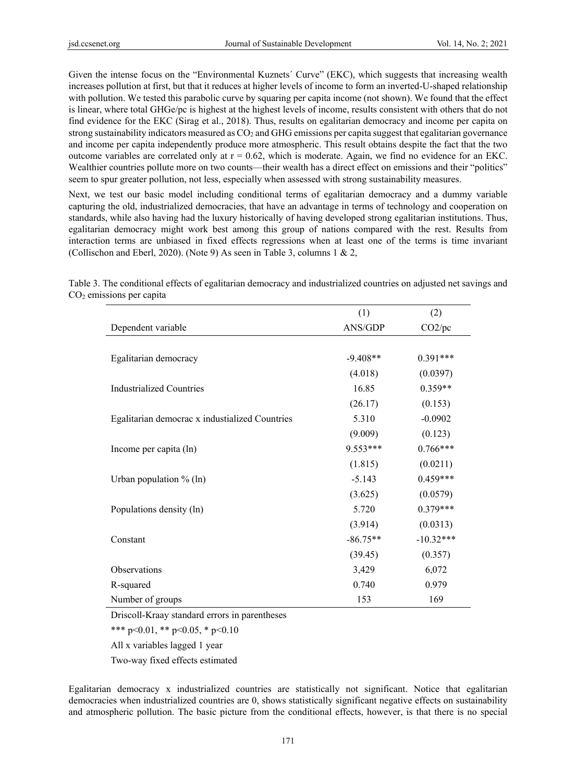Given the intense focus on the "Environmental Kuznets' Curve" (EKC), which suggests that increasing wealth increases pollution at first, but that it reduces at higher levels of income to form an inverted-U-shaped relationship with pollution. We tested this parabolic curve by squaring per capita income (not shown). We found that the effect is linear, where total GHGe/pc is highest at the highest levels of income, results consistent with others that do not find evidence for the EKC (Sirag et al., 2018). Thus, results on egalitarian democracy and income per capita on strong sustainability indicators measured as  $CO<sub>2</sub>$  and GHG emissions per capita suggest that egalitarian governance and income per capita independently produce more atmospheric. This result obtains despite the fact that the two outcome variables are correlated only at  $r = 0.62$ , which is moderate. Again, we find no evidence for an EKC. Wealthier countries pollute more on two counts—their wealth has a direct effect on emissions and their "politics" seem to spur greater pollution, not less, especially when assessed with strong sustainability measures.

Next, we test our basic model including conditional terms of egalitarian democracy and a dummy variable capturing the old, industrialized democracies, that have an advantage in terms of technology and cooperation on standards, while also having had the luxury historically of having developed strong egalitarian institutions. Thus, egalitarian democracy might work best among this group of nations compared with the rest. Results from interaction terms are unbiased in fixed effects regressions when at least one of the terms is time invariant (Collischon and Eberl, 2020). (Note 9) As seen in Table 3, columns 1 & 2,

|                                                | (1)        | (2)         |
|------------------------------------------------|------------|-------------|
| Dependent variable                             | ANS/GDP    | CO2/pc      |
|                                                |            |             |
| Egalitarian democracy                          | $-9.408**$ | $0.391***$  |
|                                                | (4.018)    | (0.0397)    |
| <b>Industrialized Countries</b>                | 16.85      | $0.359**$   |
|                                                | (26.17)    | (0.153)     |
| Egalitarian democrac x industialized Countries | 5.310      | $-0.0902$   |
|                                                | (9.009)    | (0.123)     |
| Income per capita (ln)                         | $9.553***$ | $0.766***$  |
|                                                | (1.815)    | (0.0211)    |
| Urban population $%$ (ln)                      | $-5.143$   | $0.459***$  |
|                                                | (3.625)    | (0.0579)    |
| Populations density (ln)                       | 5.720      | $0.379***$  |
|                                                | (3.914)    | (0.0313)    |
| Constant                                       | $-86.75**$ | $-10.32***$ |
|                                                | (39.45)    | (0.357)     |
| Observations                                   | 3,429      | 6,072       |
| R-squared                                      | 0.740      | 0.979       |
| Number of groups                               | 153        | 169         |

Table 3. The conditional effects of egalitarian democracy and industrialized countries on adjusted net savings and CO2 emissions per capita

Driscoll-Kraay standard errors in parentheses

\*\*\* p<0.01, \*\* p<0.05, \* p<0.10

All x variables lagged 1 year

Two-way fixed effects estimated

Egalitarian democracy x industrialized countries are statistically not significant. Notice that egalitarian democracies when industrialized countries are 0, shows statistically significant negative effects on sustainability and atmospheric pollution. The basic picture from the conditional effects, however, is that there is no special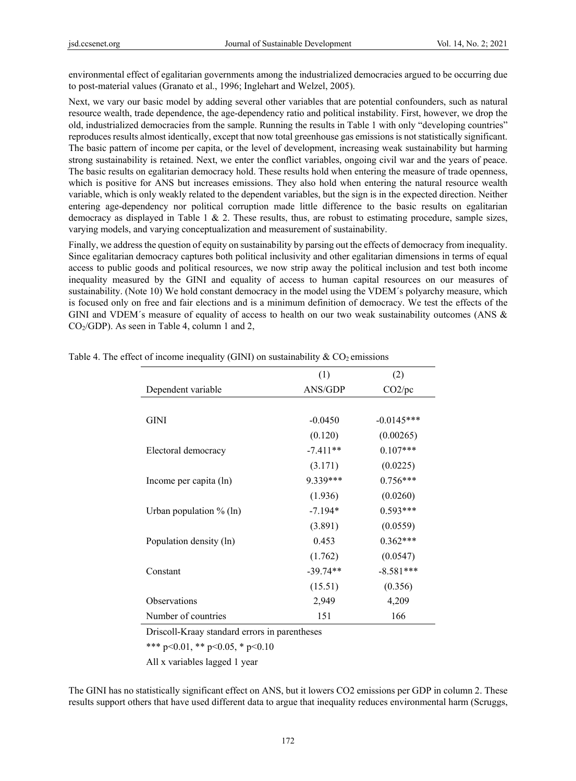environmental effect of egalitarian governments among the industrialized democracies argued to be occurring due to post-material values (Granato et al., 1996; Inglehart and Welzel, 2005).

Next, we vary our basic model by adding several other variables that are potential confounders, such as natural resource wealth, trade dependence, the age-dependency ratio and political instability. First, however, we drop the old, industrialized democracies from the sample. Running the results in Table 1 with only "developing countries" reproduces results almost identically, except that now total greenhouse gas emissions is not statistically significant. The basic pattern of income per capita, or the level of development, increasing weak sustainability but harming strong sustainability is retained. Next, we enter the conflict variables, ongoing civil war and the years of peace. The basic results on egalitarian democracy hold. These results hold when entering the measure of trade openness, which is positive for ANS but increases emissions. They also hold when entering the natural resource wealth variable, which is only weakly related to the dependent variables, but the sign is in the expected direction. Neither entering age-dependency nor political corruption made little difference to the basic results on egalitarian democracy as displayed in Table 1 & 2. These results, thus, are robust to estimating procedure, sample sizes, varying models, and varying conceptualization and measurement of sustainability.

Finally, we address the question of equity on sustainability by parsing out the effects of democracy from inequality. Since egalitarian democracy captures both political inclusivity and other egalitarian dimensions in terms of equal access to public goods and political resources, we now strip away the political inclusion and test both income inequality measured by the GINI and equality of access to human capital resources on our measures of sustainability. (Note 10) We hold constant democracy in the model using the VDEM´s polyarchy measure, which is focused only on free and fair elections and is a minimum definition of democracy. We test the effects of the GINI and VDEM´s measure of equality of access to health on our two weak sustainability outcomes (ANS &  $CO<sub>2</sub>/GDP$ ). As seen in Table 4, column 1 and 2,

|                            | (1)        | (2)          |
|----------------------------|------------|--------------|
| Dependent variable         | ANS/GDP    | CO2/pc       |
|                            |            |              |
| <b>GINI</b>                | $-0.0450$  | $-0.0145***$ |
|                            | (0.120)    | (0.00265)    |
| Electoral democracy        | $-7.411**$ | $0.107***$   |
|                            | (3.171)    | (0.0225)     |
| Income per capita (ln)     | 9.339***   | $0.756***$   |
|                            | (1.936)    | (0.0260)     |
| Urban population $\%$ (ln) | $-7.194*$  | $0.593***$   |
|                            | (3.891)    | (0.0559)     |
| Population density (ln)    | 0.453      | $0.362***$   |
|                            | (1.762)    | (0.0547)     |
| Constant                   | $-39.74**$ | $-8.581***$  |
|                            | (15.51)    | (0.356)      |
| <b>Observations</b>        | 2,949      | 4,209        |
| Number of countries        | 151        | 166          |

Table 4. The effect of income inequality (GINI) on sustainability  $\&$  CO<sub>2</sub> emissions

Driscoll-Kraay standard errors in parentheses

\*\*\* p<0.01, \*\* p<0.05, \* p<0.10

All x variables lagged 1 year

The GINI has no statistically significant effect on ANS, but it lowers CO2 emissions per GDP in column 2. These results support others that have used different data to argue that inequality reduces environmental harm (Scruggs,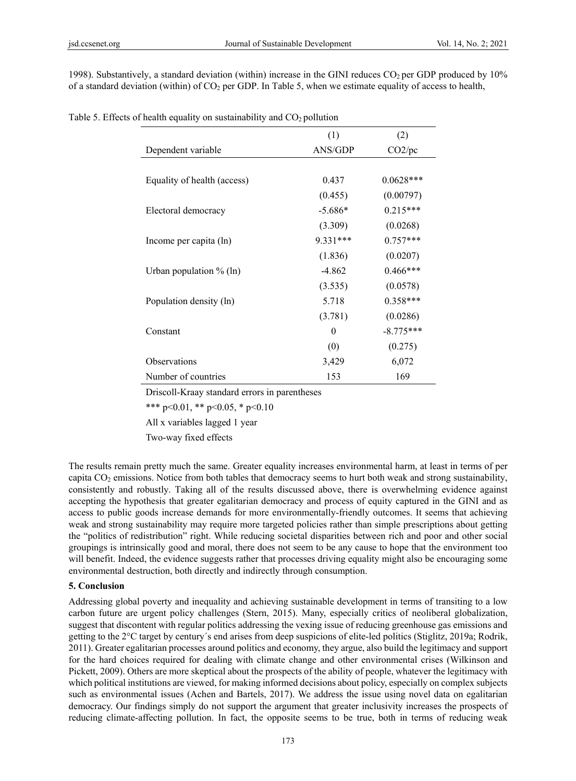1998). Substantively, a standard deviation (within) increase in the GINI reduces  $CO<sub>2</sub>$  per GDP produced by 10% of a standard deviation (within) of  $CO<sub>2</sub>$  per GDP. In Table 5, when we estimate equality of access to health,

|                             | (1)       | (2)         |
|-----------------------------|-----------|-------------|
| Dependent variable          | ANS/GDP   | CO2/pc      |
|                             |           |             |
| Equality of health (access) | 0.437     | $0.0628***$ |
|                             | (0.455)   | (0.00797)   |
| Electoral democracy         | $-5.686*$ | $0.215***$  |
|                             | (3.309)   | (0.0268)    |
| Income per capita (ln)      | 9.331***  | $0.757***$  |
|                             | (1.836)   | (0.0207)    |
| Urban population $\%$ (ln)  | $-4.862$  | $0.466***$  |
|                             | (3.535)   | (0.0578)    |
| Population density (ln)     | 5.718     | $0.358***$  |
|                             | (3.781)   | (0.0286)    |
| Constant                    | 0         | $-8.775***$ |
|                             | (0)       | (0.275)     |
| <b>Observations</b>         | 3,429     | 6,072       |
| Number of countries         | 153       | 169         |

| Table 5. Effects of health equality on sustainability and $CO2$ pollution |  |  |  |  |  |  |  |
|---------------------------------------------------------------------------|--|--|--|--|--|--|--|
|---------------------------------------------------------------------------|--|--|--|--|--|--|--|

Driscoll-Kraay standard errors in parentheses

\*\*\* p<0.01, \*\* p<0.05, \* p<0.10

All x variables lagged 1 year

Two-way fixed effects

The results remain pretty much the same. Greater equality increases environmental harm, at least in terms of per capita  $CO<sub>2</sub>$  emissions. Notice from both tables that democracy seems to hurt both weak and strong sustainability, consistently and robustly. Taking all of the results discussed above, there is overwhelming evidence against accepting the hypothesis that greater egalitarian democracy and process of equity captured in the GINI and as access to public goods increase demands for more environmentally-friendly outcomes. It seems that achieving weak and strong sustainability may require more targeted policies rather than simple prescriptions about getting the "politics of redistribution" right. While reducing societal disparities between rich and poor and other social groupings is intrinsically good and moral, there does not seem to be any cause to hope that the environment too will benefit. Indeed, the evidence suggests rather that processes driving equality might also be encouraging some environmental destruction, both directly and indirectly through consumption.

#### **5. Conclusion**

Addressing global poverty and inequality and achieving sustainable development in terms of transiting to a low carbon future are urgent policy challenges (Stern, 2015). Many, especially critics of neoliberal globalization, suggest that discontent with regular politics addressing the vexing issue of reducing greenhouse gas emissions and getting to the 2°C target by century´s end arises from deep suspicions of elite-led politics (Stiglitz, 2019a; Rodrik, 2011). Greater egalitarian processes around politics and economy, they argue, also build the legitimacy and support for the hard choices required for dealing with climate change and other environmental crises (Wilkinson and Pickett, 2009). Others are more skeptical about the prospects of the ability of people, whatever the legitimacy with which political institutions are viewed, for making informed decisions about policy, especially on complex subjects such as environmental issues (Achen and Bartels, 2017). We address the issue using novel data on egalitarian democracy. Our findings simply do not support the argument that greater inclusivity increases the prospects of reducing climate-affecting pollution. In fact, the opposite seems to be true, both in terms of reducing weak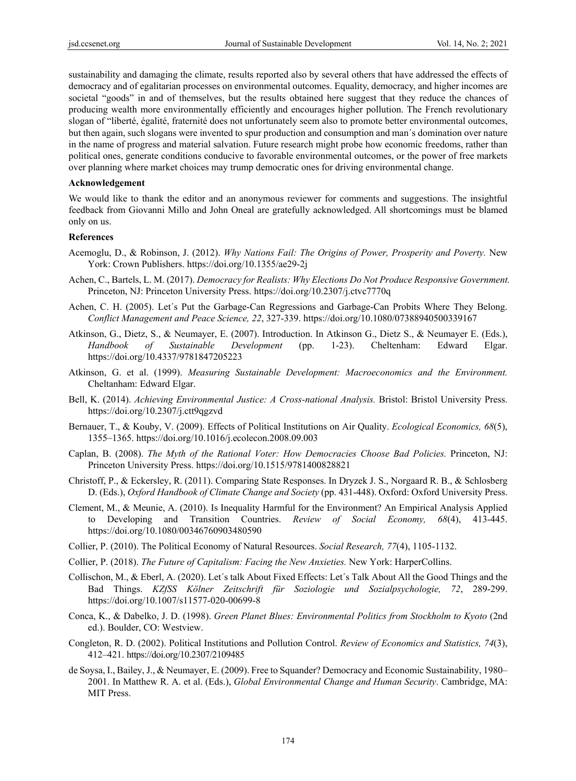sustainability and damaging the climate, results reported also by several others that have addressed the effects of democracy and of egalitarian processes on environmental outcomes. Equality, democracy, and higher incomes are societal "goods" in and of themselves, but the results obtained here suggest that they reduce the chances of producing wealth more environmentally efficiently and encourages higher pollution. The French revolutionary slogan of "liberté, égalité, fraternité does not unfortunately seem also to promote better environmental outcomes, but then again, such slogans were invented to spur production and consumption and man´s domination over nature in the name of progress and material salvation. Future research might probe how economic freedoms, rather than political ones, generate conditions conducive to favorable environmental outcomes, or the power of free markets over planning where market choices may trump democratic ones for driving environmental change.

#### **Acknowledgement**

We would like to thank the editor and an anonymous reviewer for comments and suggestions. The insightful feedback from Giovanni Millo and John Oneal are gratefully acknowledged. All shortcomings must be blamed only on us.

#### **References**

- Acemoglu, D., & Robinson, J. (2012). *Why Nations Fail: The Origins of Power, Prosperity and Poverty.* New York: Crown Publishers. https://doi.org/10.1355/ae29-2j
- Achen, C., Bartels, L. M. (2017). *Democracy for Realists: Why Elections Do Not Produce Responsive Government.*  Princeton, NJ: Princeton University Press. https://doi.org/10.2307/j.ctvc7770q
- Achen, C. H. (2005). Let´s Put the Garbage-Can Regressions and Garbage-Can Probits Where They Belong. *Conflict Management and Peace Science, 22*, 327-339. https://doi.org/10.1080/07388940500339167
- Atkinson, G., Dietz, S., & Neumayer, E. (2007). Introduction. In Atkinson G., Dietz S., & Neumayer E. (Eds.), *Handbook of Sustainable Development* (pp. 1-23). Cheltenham: Edward Elgar. https://doi.org/10.4337/9781847205223
- Atkinson, G. et al. (1999). *Measuring Sustainable Development: Macroeconomics and the Environment.*  Cheltanham: Edward Elgar.
- Bell, K. (2014). *Achieving Environmental Justice: A Cross-national Analysis.* Bristol: Bristol University Press. https://doi.org/10.2307/j.ctt9qgzvd
- Bernauer, T., & Kouby, V. (2009). Effects of Political Institutions on Air Quality. *Ecological Economics, 68*(5), 1355–1365. https://doi.org/10.1016/j.ecolecon.2008.09.003
- Caplan, B. (2008). *The Myth of the Rational Voter: How Democracies Choose Bad Policies.* Princeton, NJ: Princeton University Press. https://doi.org/10.1515/9781400828821
- Christoff, P., & Eckersley, R. (2011). Comparing State Responses. In Dryzek J. S., Norgaard R. B., & Schlosberg D. (Eds.), *Oxford Handbook of Climate Change and Society* (pp. 431-448). Oxford: Oxford University Press.
- Clement, M., & Meunie, A. (2010). Is Inequality Harmful for the Environment? An Empirical Analysis Applied to Developing and Transition Countries. *Review of Social Economy, 68*(4), 413-445. https://doi.org/10.1080/00346760903480590
- Collier, P. (2010). The Political Economy of Natural Resources. *Social Research, 77*(4), 1105-1132.
- Collier, P. (2018). *The Future of Capitalism: Facing the New Anxieties.* New York: HarperCollins.
- Collischon, M., & Eberl, A. (2020). Let´s talk About Fixed Effects: Let´s Talk About All the Good Things and the Bad Things. *KZfSS Kölner Zeitschrift für Soziologie und Sozialpsychologie, 72*, 289-299. https://doi.org/10.1007/s11577-020-00699-8
- Conca, K., & Dabelko, J. D. (1998). *Green Planet Blues: Environmental Politics from Stockholm to Kyoto* (2nd ed.). Boulder, CO: Westview.
- Congleton, R. D. (2002). Political Institutions and Pollution Control. *Review of Economics and Statistics, 74*(3), 412–421. https://doi.org/10.2307/2109485
- de Soysa, I., Bailey, J., & Neumayer, E. (2009). Free to Squander? Democracy and Economic Sustainability, 1980– 2001. In Matthew R. A. et al. (Eds.), *Global Environmental Change and Human Security*. Cambridge, MA: MIT Press.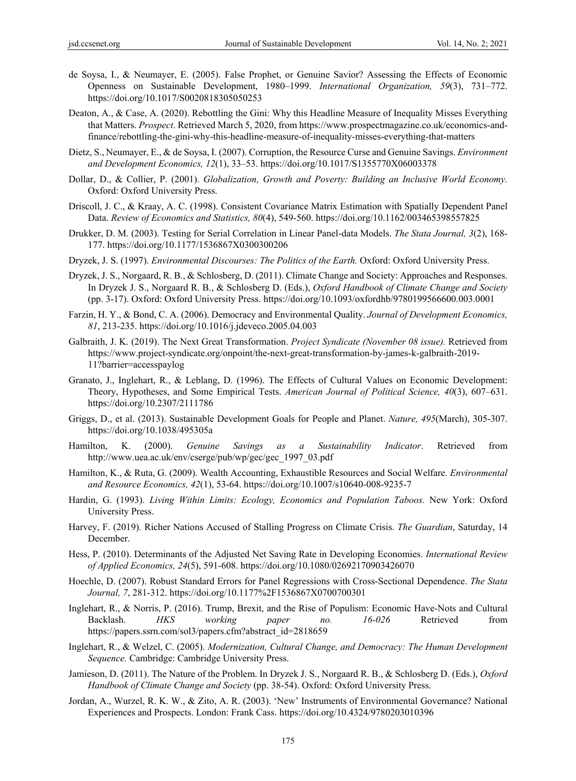- de Soysa, I., & Neumayer, E. (2005). False Prophet, or Genuine Savior? Assessing the Effects of Economic Openness on Sustainable Development, 1980–1999. *International Organization, 59*(3), 731–772. https://doi.org/10.1017/S0020818305050253
- Deaton, A., & Case, A. (2020). Rebottling the Gini: Why this Headline Measure of Inequality Misses Everything that Matters. *Prospect*. Retrieved March 5, 2020, from https://www.prospectmagazine.co.uk/economics-andfinance/rebottling-the-gini-why-this-headline-measure-of-inequality-misses-everything-that-matters
- Dietz, S., Neumayer, E., & de Soysa, I. (2007). Corruption, the Resource Curse and Genuine Savings. *Environment and Development Economics, 12*(1), 33–53. https://doi.org/10.1017/S1355770X06003378
- Dollar, D., & Collier, P. (2001). *Globalization, Growth and Poverty: Building an Inclusive World Economy.*  Oxford: Oxford University Press.
- Driscoll, J. C., & Kraay, A. C. (1998). Consistent Covariance Matrix Estimation with Spatially Dependent Panel Data. *Review of Economics and Statistics, 80*(4), 549-560. https://doi.org/10.1162/003465398557825
- Drukker, D. M. (2003). Testing for Serial Correlation in Linear Panel-data Models. *The Stata Journal, 3*(2), 168- 177. https://doi.org/10.1177/1536867X0300300206
- Dryzek, J. S. (1997). *Environmental Discourses: The Politics of the Earth.* Oxford: Oxford University Press.
- Dryzek, J. S., Norgaard, R. B., & Schlosberg, D. (2011). Climate Change and Society: Approaches and Responses. In Dryzek J. S., Norgaard R. B., & Schlosberg D. (Eds.), *Oxford Handbook of Climate Change and Society*  (pp. 3-17). Oxford: Oxford University Press. https://doi.org/10.1093/oxfordhb/9780199566600.003.0001
- Farzin, H. Y., & Bond, C. A. (2006). Democracy and Environmental Quality. *Journal of Development Economics, 81*, 213-235. https://doi.org/10.1016/j.jdeveco.2005.04.003
- Galbraith, J. K. (2019). The Next Great Transformation. *Project Syndicate (November 08 issue).* Retrieved from https://www.project-syndicate.org/onpoint/the-next-great-transformation-by-james-k-galbraith-2019- 11?barrier=accesspaylog
- Granato, J., Inglehart, R., & Leblang, D. (1996). The Effects of Cultural Values on Economic Development: Theory, Hypotheses, and Some Empirical Tests. *American Journal of Political Science, 40*(3), 607–631. https://doi.org/10.2307/2111786
- Griggs, D., et al. (2013). Sustainable Development Goals for People and Planet. *Nature, 495*(March), 305-307. https://doi.org/10.1038/495305a
- Hamilton, K. (2000). *Genuine Savings as a Sustainability Indicator*. Retrieved from http://www.uea.ac.uk/env/cserge/pub/wp/gec/gec\_1997\_03.pdf
- Hamilton, K., & Ruta, G. (2009). Wealth Accounting, Exhaustible Resources and Social Welfare. *Environmental and Resource Economics, 42*(1), 53-64. https://doi.org/10.1007/s10640-008-9235-7
- Hardin, G. (1993). *Living Within Limits: Ecology, Economics and Population Taboos.* New York: Oxford University Press.
- Harvey, F. (2019). Richer Nations Accused of Stalling Progress on Climate Crisis. *The Guardian*, Saturday, 14 December.
- Hess, P. (2010). Determinants of the Adjusted Net Saving Rate in Developing Economies. *International Review of Applied Economics, 24*(5), 591-608. https://doi.org/10.1080/02692170903426070
- Hoechle, D. (2007). Robust Standard Errors for Panel Regressions with Cross-Sectional Dependence. *The Stata Journal, 7*, 281-312. https://doi.org/10.1177%2F1536867X0700700301
- Inglehart, R., & Norris, P. (2016). Trump, Brexit, and the Rise of Populism: Economic Have-Nots and Cultural Backlash. *HKS working paper no. 16-026* Retrieved from https://papers.ssrn.com/sol3/papers.cfm?abstract\_id=2818659
- Inglehart, R., & Welzel, C. (2005). *Modernization, Cultural Change, and Democracy: The Human Development Sequence.* Cambridge: Cambridge University Press.
- Jamieson, D. (2011). The Nature of the Problem. In Dryzek J. S., Norgaard R. B., & Schlosberg D. (Eds.), *Oxford Handbook of Climate Change and Society* (pp. 38-54). Oxford: Oxford University Press.
- Jordan, A., Wurzel, R. K. W., & Zito, A. R. (2003). 'New' Instruments of Environmental Governance? National Experiences and Prospects. London: Frank Cass. https://doi.org/10.4324/9780203010396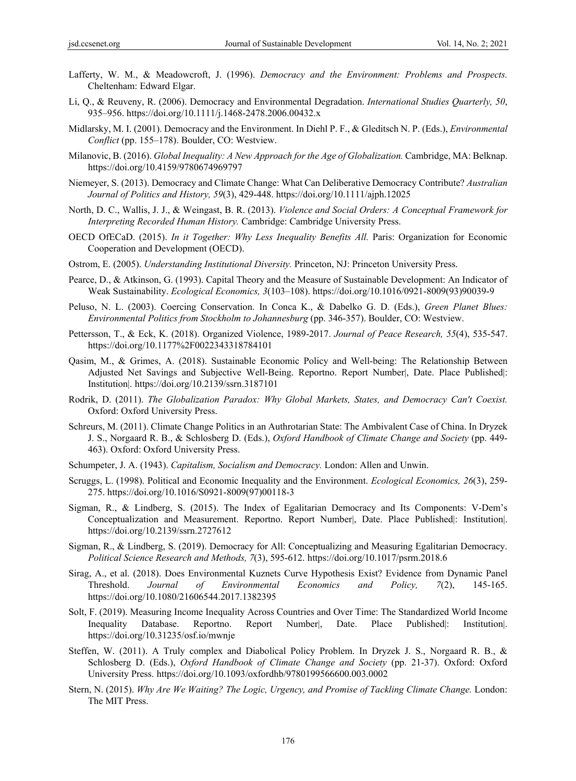- Lafferty, W. M., & Meadowcroft, J. (1996). *Democracy and the Environment: Problems and Prospects.* Cheltenham: Edward Elgar.
- Li, Q., & Reuveny, R. (2006). Democracy and Environmental Degradation. *International Studies Quarterly, 50*, 935–956. https://doi.org/10.1111/j.1468-2478.2006.00432.x
- Midlarsky, M. I. (2001). Democracy and the Environment. In Diehl P. F., & Gleditsch N. P. (Eds.), *Environmental Conflict* (pp. 155–178). Boulder, CO: Westview.
- Milanovic, B. (2016). *Global Inequality: A New Approach for the Age of Globalization.* Cambridge, MA: Belknap. https://doi.org/10.4159/9780674969797
- Niemeyer, S. (2013). Democracy and Climate Change: What Can Deliberative Democracy Contribute? *Australian Journal of Politics and History, 59*(3), 429-448. https://doi.org/10.1111/ajph.12025
- North, D. C., Wallis, J. J., & Weingast, B. R. (2013). *Violence and Social Orders: A Conceptual Framework for Interpreting Recorded Human History.* Cambridge: Cambridge University Press.
- OECD OfECaD. (2015). *In it Together: Why Less Inequality Benefits All.* Paris: Organization for Economic Cooperation and Development (OECD).
- Ostrom, E. (2005). *Understanding Institutional Diversity.* Princeton, NJ: Princeton University Press.
- Pearce, D., & Atkinson, G. (1993). Capital Theory and the Measure of Sustainable Development: An Indicator of Weak Sustainability. *Ecological Economics, 3*(103–108). https://doi.org/10.1016/0921-8009(93)90039-9
- Peluso, N. L. (2003). Coercing Conservation. In Conca K., & Dabelko G. D. (Eds.), *Green Planet Blues: Environmental Politics from Stockholm to Johannesburg* (pp. 346-357). Boulder, CO: Westview.
- Pettersson, T., & Eck, K. (2018). Organized Violence, 1989-2017. *Journal of Peace Research, 55*(4), 535-547. https://doi.org/10.1177%2F0022343318784101
- Qasim, M., & Grimes, A. (2018). Sustainable Economic Policy and Well-being: The Relationship Between Adjusted Net Savings and Subjective Well-Being. Reportno. Report Number|, Date. Place Published|: Institution|. https://doi.org/10.2139/ssrn.3187101
- Rodrik, D. (2011). *The Globalization Paradox: Why Global Markets, States, and Democracy Can't Coexist.*  Oxford: Oxford University Press.
- Schreurs, M. (2011). Climate Change Politics in an Authrotarian State: The Ambivalent Case of China. In Dryzek J. S., Norgaard R. B., & Schlosberg D. (Eds.), *Oxford Handbook of Climate Change and Society* (pp. 449- 463). Oxford: Oxford University Press.
- Schumpeter, J. A. (1943). *Capitalism, Socialism and Democracy.* London: Allen and Unwin.
- Scruggs, L. (1998). Political and Economic Inequality and the Environment. *Ecological Economics, 26*(3), 259- 275. https://doi.org/10.1016/S0921-8009(97)00118-3
- Sigman, R., & Lindberg, S. (2015). The Index of Egalitarian Democracy and Its Components: V-Dem's Conceptualization and Measurement. Reportno. Report Number|, Date. Place Published|: Institution|. https://doi.org/10.2139/ssrn.2727612
- Sigman, R., & Lindberg, S. (2019). Democracy for All: Conceptualizing and Measuring Egalitarian Democracy. *Political Science Research and Methods, 7*(3), 595-612. https://doi.org/10.1017/psrm.2018.6
- Sirag, A., et al. (2018). Does Environmental Kuznets Curve Hypothesis Exist? Evidence from Dynamic Panel Threshold. *Journal of Environmental Economics and Policy, 7*(2), 145-165. https://doi.org/10.1080/21606544.2017.1382395
- Solt, F. (2019). Measuring Income Inequality Across Countries and Over Time: The Standardized World Income Inequality Database. Reportno. Report Number|, Date. Place Published|: Institution|. https://doi.org/10.31235/osf.io/mwnje
- Steffen, W. (2011). A Truly complex and Diabolical Policy Problem. In Dryzek J. S., Norgaard R. B., & Schlosberg D. (Eds.), *Oxford Handbook of Climate Change and Society* (pp. 21-37). Oxford: Oxford University Press. https://doi.org/10.1093/oxfordhb/9780199566600.003.0002
- Stern, N. (2015). *Why Are We Waiting? The Logic, Urgency, and Promise of Tackling Climate Change.* London: The MIT Press.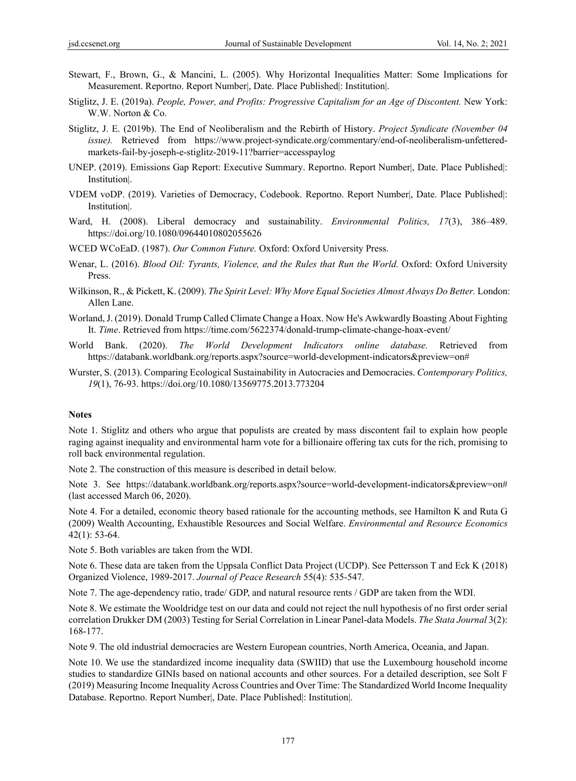- Stewart, F., Brown, G., & Mancini, L. (2005). Why Horizontal Inequalities Matter: Some Implications for Measurement. Reportno. Report Number|, Date. Place Published|: Institution|.
- Stiglitz, J. E. (2019a). *People, Power, and Profits: Progressive Capitalism for an Age of Discontent.* New York: W.W. Norton & Co.
- Stiglitz, J. E. (2019b). The End of Neoliberalism and the Rebirth of History. *Project Syndicate (November 04 issue).* Retrieved from https://www.project-syndicate.org/commentary/end-of-neoliberalism-unfetteredmarkets-fail-by-joseph-e-stiglitz-2019-11?barrier=accesspaylog
- UNEP. (2019). Emissions Gap Report: Executive Summary. Reportno. Report Number|, Date. Place Published|: Institution|.
- VDEM voDP. (2019). Varieties of Democracy, Codebook. Reportno. Report Number|, Date. Place Published|: Institution|.
- Ward, H. (2008). Liberal democracy and sustainability. *Environmental Politics, 17*(3), 386–489. https://doi.org/10.1080/09644010802055626
- WCED WCoEaD. (1987). *Our Common Future.* Oxford: Oxford University Press.
- Wenar, L. (2016). *Blood Oil: Tyrants, Violence, and the Rules that Run the World.* Oxford: Oxford University Press.
- Wilkinson, R., & Pickett, K. (2009). *The Spirit Level: Why More Equal Societies Almost Always Do Better.* London: Allen Lane.
- Worland, J. (2019). Donald Trump Called Climate Change a Hoax. Now He's Awkwardly Boasting About Fighting It. *Time*. Retrieved from https://time.com/5622374/donald-trump-climate-change-hoax-event/
- World Bank. (2020). *The World Development Indicators online database.* Retrieved from https://databank.worldbank.org/reports.aspx?source=world-development-indicators&preview=on#
- Wurster, S. (2013). Comparing Ecological Sustainability in Autocracies and Democracies. *Contemporary Politics, 19*(1), 76-93. https://doi.org/10.1080/13569775.2013.773204

#### **Notes**

Note 1. Stiglitz and others who argue that populists are created by mass discontent fail to explain how people raging against inequality and environmental harm vote for a billionaire offering tax cuts for the rich, promising to roll back environmental regulation.

Note 2. The construction of this measure is described in detail below.

Note 3. See https://databank.worldbank.org/reports.aspx?source=world-development-indicators&preview=on# (last accessed March 06, 2020).

Note 4. For a detailed, economic theory based rationale for the accounting methods, see Hamilton K and Ruta G (2009) Wealth Accounting, Exhaustible Resources and Social Welfare. *Environmental and Resource Economics* 42(1): 53-64.

Note 5. Both variables are taken from the WDI.

Note 6. These data are taken from the Uppsala Conflict Data Project (UCDP). See Pettersson T and Eck K (2018) Organized Violence, 1989-2017. *Journal of Peace Research* 55(4): 535-547.

Note 7. The age-dependency ratio, trade/ GDP, and natural resource rents / GDP are taken from the WDI.

Note 8. We estimate the Wooldridge test on our data and could not reject the null hypothesis of no first order serial correlation Drukker DM (2003) Testing for Serial Correlation in Linear Panel-data Models. *The Stata Journal* 3(2): 168-177.

Note 9. The old industrial democracies are Western European countries, North America, Oceania, and Japan.

Note 10. We use the standardized income inequality data (SWIID) that use the Luxembourg household income studies to standardize GINIs based on national accounts and other sources. For a detailed description, see Solt F (2019) Measuring Income Inequality Across Countries and Over Time: The Standardized World Income Inequality Database. Reportno. Report Number|, Date. Place Published|: Institution|.